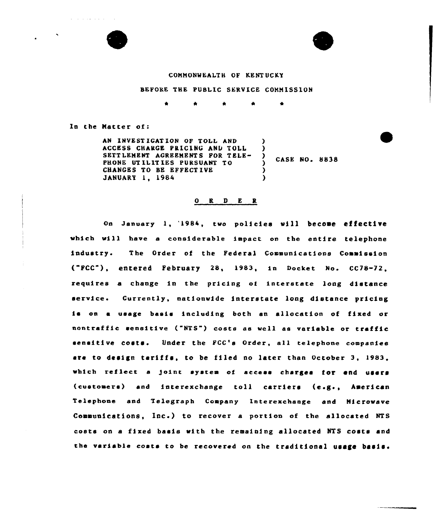

and the state of



## COMHONWEALTH OF KENTUCKY

## BEFORE THE PUBLIC SERVICE COHHISSION

 $\bullet$  $\bullet$ 

In the Matter of:

AN INVEST IGAT ION OF TOLL AND ACCESS CHARGE PRICING AND TOLL SETT LEMENT AGREEMENTS FOR TELE-PHONE UTILITIES PURSUANT TO CHANCES TO BE EFFECTIVE JhNUARY 1, 1984 ) ) ) )

 $\frac{7}{2}$  CASE NO. 8838

## $O$  R  $D$  E R

on January 1, '1984, two policies will becooe affective which vill have a considerable impact on the entire telephone industry <sup>~</sup> The Order of the Federal Communications Commission {"FCC"), entered February 28, 1983, in Docket No. CC78-72, requires a change in the pricing of interstate long distance service. Currently, nationwide interstate long distance pricing is on a usage basis including both an allocation of fixed or nontraffic sensitive ("NTS") costs as well as variable or tr<mark>affi</mark>o sensitive costs. Under the FCC's Order, all telephone companies are to design tariffs, to be filed no later than October 3, 1983, which reflect <sup>a</sup> Joint system of access charges for end users {customers) and interexchange toll carriers {e.g., heerican Telephone and Telegraph Company Interexchange and Hicrowave Communications, Inc.) to recover a portion of the allocated NTS costs on a fixed basis with the remaining allocated NTS costs and the variable costs to be recovered on the traditional usage basis.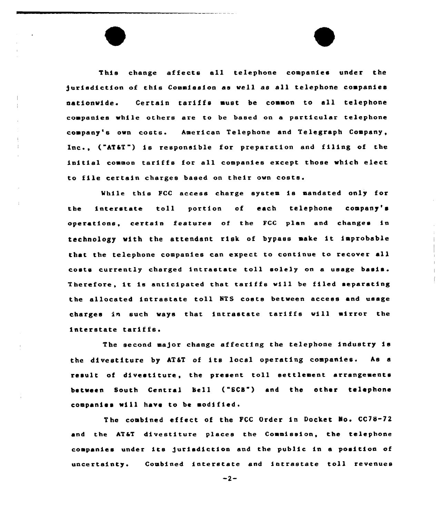This change affects all telephone companies under the )uriediction of this Commission ae well as all telephone companies nationwide. Certain tariffs must be common to all telephone companies while others are to be based on a particular telephone company's own costs. American Telephone and Telegraph Company, Inc., ("AT&T") is responsible for preparation and filing of the initial common tariffs for all companies except those which elect to file certain charges based on their own costs.

While this FCC acceee charge system is mandated only for the interstate toll portion of each telephone company's operations, certain features of the FGG plan and changes ia technology with the attendant risk of bypass make it improbable that the telephone companies can expect to continue to recover all costs currently charged intrastate toll solely on a usage basis. Therefore, it ie antic1pated that tariffs will be filed separating the allocated intrastate toll NTS costs between access and usage charges ln such ways that intrastate tariffs will mirror the interstate tariffs.

The second ma)or change affecting the telephone industry is the divestiture by AT&T of its local operating companies. As a result of divestiture, the present toll settlement arrangements between South Central Sell ("SCS") and the other telephone companies will have to be modified.

The combined effect of the FCC Order in Docket No. CC78-72 and the AT6T divestiture places the Commission, the telephone companies under ite Jurisdiction and the public in <sup>a</sup> position of uncertainty. Combined interstate and intrastate toll revenues

 $-2-$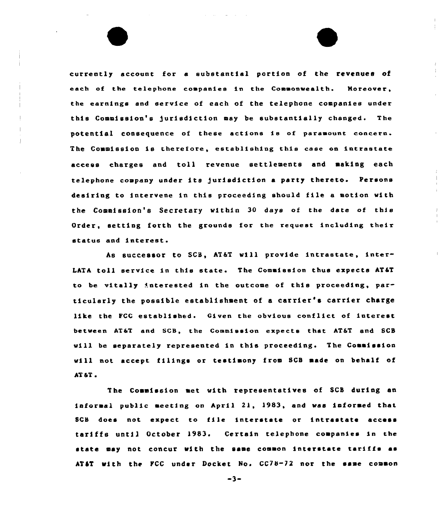currently account for a substantial portion of the revenues of each of the telephone companies in the Commonwealth. Moreover, the earnings and service of each of the telephone companies under this Commission's jurisdiction may be substantially changed. The potential consequence of these actions is of paramount concern. The Commission is therefore, establishing this case on intrastate access charges and toll revenue settlements and making each telephone company under its jurisdiction a party thereto. Persons desiring to intervene in this proceeding should file <sup>a</sup> motion with the Commission's Secretary within 30 days of the date of this Order, setting forth the grounds for the request including their status and interest.

hs successor to SCS, AT&T will provide intrastate, inter-LATA toll service in this state. The Commission thus expects AT&T to be vitally interested in the outcome of this proceeding, particularly the possible establishment of <sup>a</sup> carrier's carrier charge like the FCC established. Given the obvious conflict of interest between AT&T and SCB, the Commission expects that AT&T and SCB will be separately represented in this proceeding. The Commission will not accept filings or testimony from SCB made on behalf of AT&T i

The Commission met with representatives of SCS during an informal public meeting on April 2l, 1983, and was informed that SCB does not expect to file interstate or intrastate access tariffs until October l983. Certain telephone companies in the state may not concur with the same common interstate tariffs as AT6T with the FCC under Docket No. CC78-72 nor the same common

 $-3-$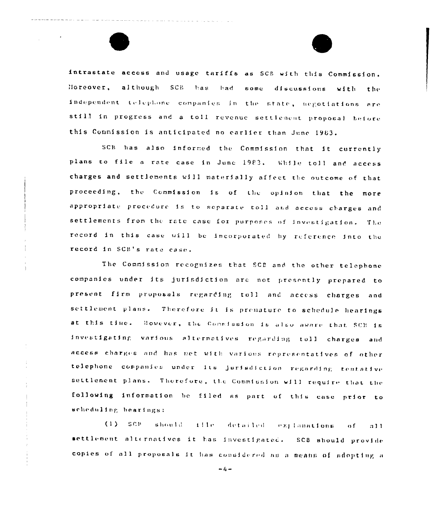intrastate access and usage tariffs as SCB with this Commission. Horeover, although SCB has had some discussions with the independent telephone companies in the state, negotiations are still in progress and a toll revenue settlement proposal before this Commission is anticipated no earlier than June 1983.

SCB has also informed the Commission that it currently plans to file a rate case in Junc 1983. While toll and access charges and settlements will materially affect the outcome of that proceeding, the Commission is of the opinion that the more appropriate procedure is to separate toll and access charges and settlements from the rate case for purposes of investigation. The record in this case will be incorporated by reference into the record in SCB's rate case.

The Commission recognizes that SCE and the other telephone companies under its jurisdiction are not presently prepared to present firm proposals regarding toll and access charges and settlement plans. Therefore it is premature to schedule hearings at this time. However, the Conmission is also aware that SCE is investigating various alternatives regarding toll charges and access charges and has met with various representatives of other telephone companies under its jurisdiction regarding tentative settlement plans. Therefore, the Commission will require that the following information be filed as part of this case prior to scheduling hearings:

 $(1)$  scr should iffe detailed explanations  $0<sup>f</sup>$  $a11$ settlement alternatives it has investigated. SCB should provide copies of all proposals it has considered as a means of adopting a

 $-4-$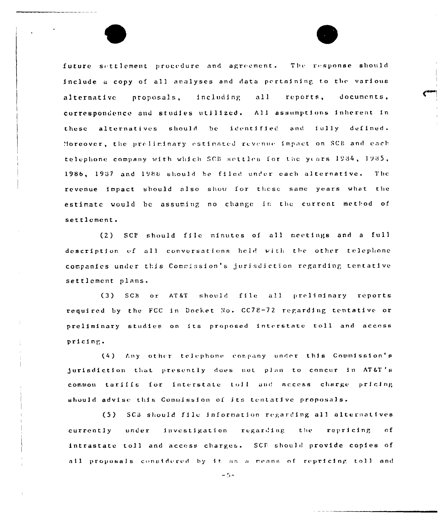future settlement procedure and agreement. The response should include a copy of all analyses and data pertaining to the various proposals, including all reports. documents. alternative correspondence and studies utilized. All assumptions inherent in these alternatives should be identified and fully defined. Moreover, the preliminary estimated revenue impact on SCB and each telephone company with which SCB settles for the years 1984, 1985, 1986, 1937 and 1988 should be filed under each alternative. The revenue impact should also show for these same years what the estimate would be assuming no change in the current method of settlement.

SCP should file minutes of all meetings and a full  $(2)$ description of all conversations held with the other telephone companies under this Commission's jurisdiction regarding tentative settlement plans.

(3) SCB or AT&T should file all preliminary reports required by the FCC in Docket No. CC78-72 regarding tentative or preliminary studies on its proposed interstate toll and access pricing.

(4) Any other telephone company under this Commission's jurisdiction that presently does not plan to concur in AT&T's common tariffs for interstate toll and access charge pricing should advise this Commission of its tentative proposals.

(5) SCB should file information regarding all alternatives currently under investigation regarding the repricing  $\Omega$ f intrastate toll and access charges. SCF should provide copies of all proposals considered by it as a means of repricing toll and

 $\sim 5$   $\sim$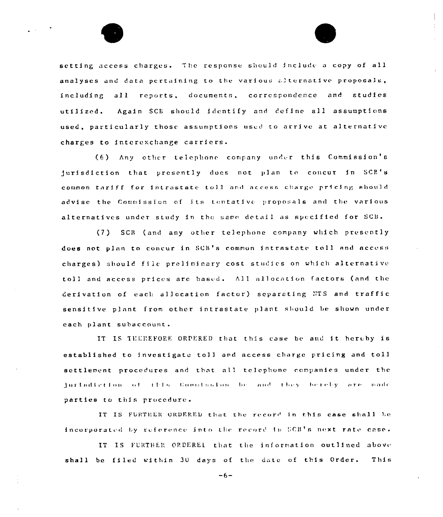setting access charges. The response should include a copy of all analyses and data pertaining to the various alternative proposals, including all reports, documents, correspondence and studies utilized. Again SCE should identify and define all assumptions used, particularly those assumptions used to arrive at alternative charges to interexchange carriers.

(6) Any other telephone company under this Commission's jurisdiction that presently does not plan to concur in SCB's common tariff for intrastate toll and access charge pricing should advise the Commission of its tentative proposals and the various alternatives under study in the same detail as specified for SCB.

(7) SCB (and any other telephone company which presently does not plan to concur in SCB's common intrastate toll and access charges) should file preliminary cost studies on which alternative toll and access prices are based. All allocation factors (and the derivation of each allocation factor) separating NTS and traffic sensitive plant from other intrastate plant should be shown under cach plant subaccount.

IT IS THEREFORE ORDERED that this case be and it hereby is established to investigate toll and access charge pricing and toll settlement procedures and that all telephone companies under the jurindiction of this Commission be and they betelly are made parties to this procedure.

IT IS FURTHER ORDERED that the record in this case shall be incorporated by reference into the record in SCB's next rate case.

IT IS FURTHER ORDEREL that the information outlined above shall be filed within 30 days of the date of this Order. This

 $-6-$